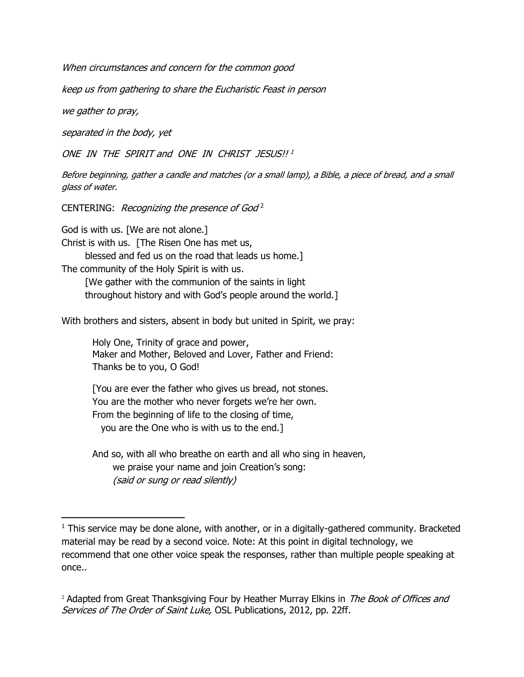When circumstances and concern for the common good

keep us from gathering to share the Eucharistic Feast in person

we gather to pray,

separated in the body, yet

ONE IN THE SPIRIT and ONE IN CHRIST JESUS!!<sup>1</sup>

Before beginning, gather a candle and matches (or a small lamp), a Bible, a piece of bread, and a small glass of water.

CENTERING: Recognizing the presence of God<sup>2</sup>

God is with us. [We are not alone.] Christ is with us. [The Risen One has met us, blessed and fed us on the road that leads us home.] The community of the Holy Spirit is with us. [We gather with the communion of the saints in light

throughout history and with God's people around the world.]

With brothers and sisters, absent in body but united in Spirit, we pray:

Holy One, Trinity of grace and power, Maker and Mother, Beloved and Lover, Father and Friend: Thanks be to you, O God!

[You are ever the father who gives us bread, not stones. You are the mother who never forgets we're her own. From the beginning of life to the closing of time, you are the One who is with us to the end.]

And so, with all who breathe on earth and all who sing in heaven, we praise your name and join Creation's song: (said or sung or read silently)

 $<sup>1</sup>$  This service may be done alone, with another, or in a digitally-gathered community. Bracketed</sup> material may be read by a second voice. Note: At this point in digital technology, we recommend that one other voice speak the responses, rather than multiple people speaking at once..

<sup>&</sup>lt;sup>2</sup> Adapted from Great Thanksgiving Four by Heather Murray Elkins in The Book of Offices and Services of The Order of Saint Luke, OSL Publications, 2012, pp. 22ff.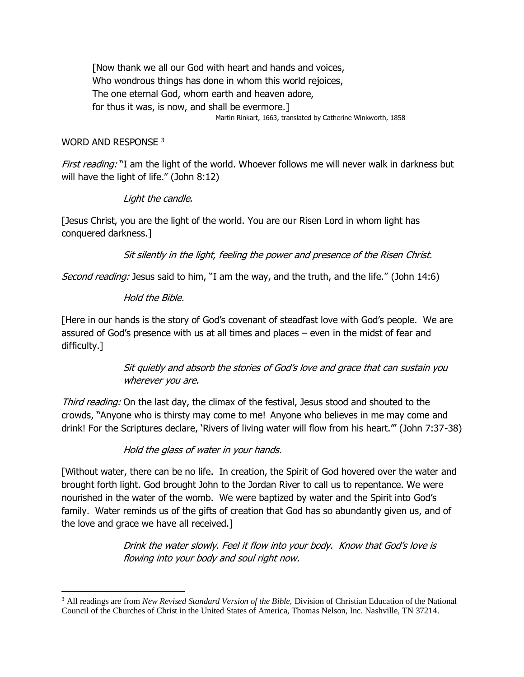[Now thank we all our God with heart and hands and voices, Who wondrous things has done in whom this world rejoices, The one eternal God, whom earth and heaven adore, for thus it was, is now, and shall be evermore.] Martin Rinkart, 1663, translated by Catherine Winkworth, 1858

#### WORD AND RESPONSE<sup>3</sup>

First reading: "I am the light of the world. Whoever follows me will never walk in darkness but will have the light of life." (John 8:12)

### Light the candle.

[Jesus Christ, you are the light of the world. You are our Risen Lord in whom light has conquered darkness.]

Sit silently in the light, feeling the power and presence of the Risen Christ.

Second reading: Jesus said to him, "I am the way, and the truth, and the life." (John 14:6)

## Hold the Bible.

[Here in our hands is the story of God's covenant of steadfast love with God's people. We are assured of God's presence with us at all times and places – even in the midst of fear and difficulty.]

> Sit quietly and absorb the stories of God's love and grace that can sustain you wherever you are.

Third reading: On the last day, the climax of the festival, Jesus stood and shouted to the crowds, "Anyone who is thirsty may come to me! Anyone who believes in me may come and drink! For the Scriptures declare, 'Rivers of living water will flow from his heart.'" (John 7:37-38)

Hold the glass of water in your hands.

[Without water, there can be no life. In creation, the Spirit of God hovered over the water and brought forth light. God brought John to the Jordan River to call us to repentance. We were nourished in the water of the womb. We were baptized by water and the Spirit into God's family. Water reminds us of the gifts of creation that God has so abundantly given us, and of the love and grace we have all received.]

> Drink the water slowly. Feel it flow into your body. Know that God's love is flowing into your body and soul right now.

<sup>3</sup> All readings are from *New Revised Standard Version of the Bible,* Division of Christian Education of the National Council of the Churches of Christ in the United States of America, Thomas Nelson, Inc. Nashville, TN 37214.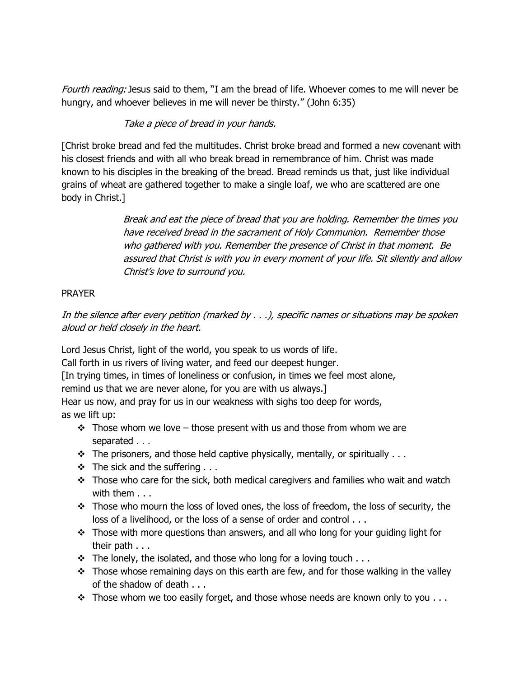Fourth reading: Jesus said to them, "I am the bread of life. Whoever comes to me will never be hungry, and whoever believes in me will never be thirsty." (John 6:35)

# Take a piece of bread in your hands.

[Christ broke bread and fed the multitudes. Christ broke bread and formed a new covenant with his closest friends and with all who break bread in remembrance of him. Christ was made known to his disciples in the breaking of the bread. Bread reminds us that, just like individual grains of wheat are gathered together to make a single loaf, we who are scattered are one body in Christ.]

> Break and eat the piece of bread that you are holding. Remember the times you have received bread in the sacrament of Holy Communion. Remember those who gathered with you. Remember the presence of Christ in that moment. Be assured that Christ is with you in every moment of your life. Sit silently and allow Christ's love to surround you.

## PRAYER

In the silence after every petition (marked by . . .), specific names or situations may be spoken aloud or held closely in the heart.

Lord Jesus Christ, light of the world, you speak to us words of life. Call forth in us rivers of living water, and feed our deepest hunger. [In trying times, in times of loneliness or confusion, in times we feel most alone, remind us that we are never alone, for you are with us always.] Hear us now, and pray for us in our weakness with sighs too deep for words, as we lift up:

- $\div$  Those whom we love those present with us and those from whom we are separated . . .
- $\div$  The prisoners, and those held captive physically, mentally, or spiritually ...
- $\div$  The sick and the suffering . . .
- ❖ Those who care for the sick, both medical caregivers and families who wait and watch with them . . .
- ❖ Those who mourn the loss of loved ones, the loss of freedom, the loss of security, the loss of a livelihood, or the loss of a sense of order and control . . .
- $\cdot \cdot$  Those with more questions than answers, and all who long for your quiding light for their path . . .
- $\cdot \cdot$  The lonely, the isolated, and those who long for a loving touch  $\dots$
- $\cdot$  Those whose remaining days on this earth are few, and for those walking in the valley of the shadow of death . . .
- $\div$  Those whom we too easily forget, and those whose needs are known only to you  $\dots$